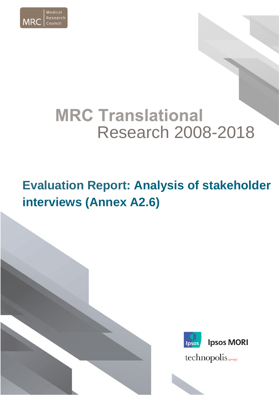

# **MRC Translational** Research 2008-2018

## **Evaluation Report: Analysis of stakeholder interviews (Annex A2.6)**

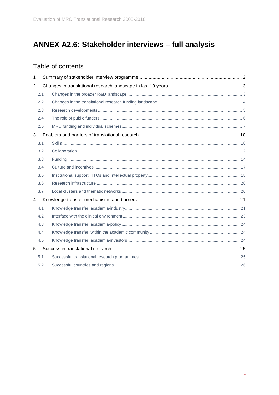## ANNEX A2.6: Stakeholder interviews - full analysis

## Table of contents

| 1              |     |  |  |  |
|----------------|-----|--|--|--|
| $\overline{2}$ |     |  |  |  |
|                | 2.1 |  |  |  |
|                | 2.2 |  |  |  |
|                | 2.3 |  |  |  |
|                | 2.4 |  |  |  |
|                | 2.5 |  |  |  |
| 3              |     |  |  |  |
|                | 3.1 |  |  |  |
|                | 3.2 |  |  |  |
|                | 3.3 |  |  |  |
|                | 3.4 |  |  |  |
|                | 3.5 |  |  |  |
|                | 3.6 |  |  |  |
|                | 3.7 |  |  |  |
| 4              |     |  |  |  |
|                | 4.1 |  |  |  |
|                | 4.2 |  |  |  |
|                | 4.3 |  |  |  |
|                | 4.4 |  |  |  |
|                | 4.5 |  |  |  |
| 5              |     |  |  |  |
|                | 5.1 |  |  |  |
|                | 5.2 |  |  |  |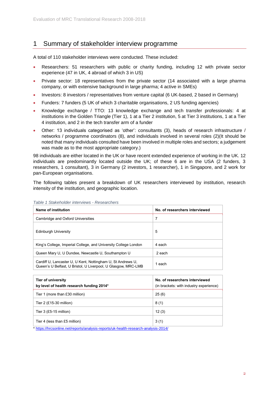#### <span id="page-2-0"></span>1 Summary of stakeholder interview programme

A total of 110 stakeholder interviews were conducted. These included:

- Researchers: 51 researchers with public or charity funding, including 12 with private sector experience (47 in UK, 4 abroad of which 3 in US)
- Private sector: 18 representatives from the private sector (14 associated with a large pharma company, or with extensive background in large pharma; 4 active in SMEs)
- Investors: 8 investors / representatives from venture capital (6 UK-based, 2 based in Germany)
- Funders: 7 funders (5 UK of which 3 charitable organisations, 2 US funding agencies)
- Knowledge exchange / TTO: 13 knowledge exchange and tech transfer professionals: 4 at institutions in the Golden Triangle (Tier 1), 1 at a Tier 2 institution, 5 at Tier 3 institutions, 1 at a Tier 4 institution, and 2 in the tech transfer arm of a funder
- Other: 13 individuals categorised as 'other': consultants (3), heads of research infrastructure / networks / programme coordinators (8), and individuals involved in several roles (2)(It should be noted that many individuals consulted have been involved in multiple roles and sectors; a judgement was made as to the most appropriate category.)

98 individuals are either located in the UK or have recent extended experience of working in the UK. 12 individuals are predominantly located outside the UK; of these 6 are in the USA (2 funders, 3 researchers, 1 consultant), 3 in Germany (2 investors, 1 researcher), 1 in Singapore, and 2 work for pan-European organisations.

The following tables present a breakdown of UK researchers interviewed by institution, research intensity of the institution, and geographic location.

| Name of institution                                                                                                          | No. of researchers interviewed |
|------------------------------------------------------------------------------------------------------------------------------|--------------------------------|
| Cambridge and Oxford Universities                                                                                            | 7                              |
| Edinburgh University                                                                                                         | 5                              |
| King's College, Imperial College, and University College London                                                              | 4 each                         |
| Queen Mary U, U Dundee, Newcastle U, Southampton U                                                                           | 2 each                         |
| Cardiff U, Lancaster U, U Kent, Nottingham U, St Andrews U,<br>Queen's U Belfast, U Bristol, U Liverpool, U Glasgow, MRC-LMB | 1 each                         |

*Table 1 Stakeholder interviews - Researchers* 

| Tier of university<br>by level of health research funding 2014*                                                      | No. of researchers interviewed<br>(in brackets: with industry experience) |
|----------------------------------------------------------------------------------------------------------------------|---------------------------------------------------------------------------|
| Tier 1 (more than £30 million)                                                                                       | 25(6)                                                                     |
| Tier 2 $(E15-30$ million)                                                                                            | 8(1)                                                                      |
| Tier $3$ (£5-15 million)                                                                                             | 12(3)                                                                     |
| Tier 4 (less than £5 million)<br>* https://bresonline.not/reports/anglysis_reports/uk_boalth_resoarch_anglysis_2014/ | 3(1)                                                                      |

https://hrcsonline.net/reports/analysis-reports/uk-health-research-analysis-2014/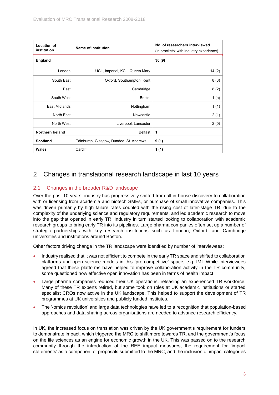| <b>Location of</b><br>institution | <b>Name of institution</b>              | No. of researchers interviewed<br>(in brackets: with industry experience) |
|-----------------------------------|-----------------------------------------|---------------------------------------------------------------------------|
| <b>England</b>                    |                                         | 36(9)                                                                     |
| London                            | UCL, Imperial, KCL, Queen Mary          | 14(2)                                                                     |
| South East                        | Oxford, Southampton, Kent               | 8(3)                                                                      |
| East                              | Cambridge                               | 8(2)                                                                      |
| South West                        | <b>Bristol</b>                          | 1 (o)                                                                     |
| East Midlands                     | Nottingham                              | 1(1)                                                                      |
| North East                        | Newcastle                               | 2(1)                                                                      |
| North West                        | Liverpool, Lancaster                    | 2(0)                                                                      |
| <b>Northern Ireland</b>           | <b>Belfast</b>                          | 1                                                                         |
| <b>Scotland</b>                   | Edinburgh, Glasgow, Dundee, St. Andrews | 9(1)                                                                      |
| Wales                             | Cardiff                                 | 1 (1)                                                                     |

## <span id="page-3-0"></span>2 Changes in translational research landscape in last 10 years

#### <span id="page-3-1"></span>2.1 Changes in the broader R&D landscape

Over the past 10 years, industry has progressively shifted from all in-house discovery to collaboration with or licensing from academia and biotech SMEs, or purchase of small innovative companies. This was driven primarily by high failure rates coupled with the rising cost of later-stage TR, due to the complexity of the underlying science and regulatory requirements, and led academic research to move into the gap that opened in early TR. Industry in turn started looking to collaboration with academic research groups to bring early TR into its pipelines. Large pharma companies often set up a number of strategic partnerships with key research institutions such as London, Oxford, and Cambridge universities and institutions around Boston.

Other factors driving change in the TR landscape were identified by number of interviewees:

- Industry realised that it was not efficient to compete in the early TR space and shifted to collaboration platforms and open science models in this 'pre-competitive' space, e.g. IMI. While interviewees agreed that these platforms have helped to improve collaboration activity in the TR community, some questioned how effective open innovation has been in terms of health impact.
- Large pharma companies reduced their UK operations, releasing an experienced TR workforce. Many of these TR experts retired, but some took on roles at UK academic institutions or started specialist CROs now active in the UK landscape. This helped to support the development of TR programmes at UK universities and publicly funded institutes.
- The '-omics revolution' and large data technologies have led to a recognition that population-based approaches and data sharing across organisations are needed to advance research efficiency.

In UK, the increased focus on translation was driven by the UK government's requirement for funders to demonstrate impact, which triggered the MRC to shift more towards TR, and the government's focus on the life sciences as an engine for economic growth in the UK. This was passed on to the research community through the introduction of the REF impact measures, the requirement for 'impact statements' as a component of proposals submitted to the MRC, and the inclusion of impact categories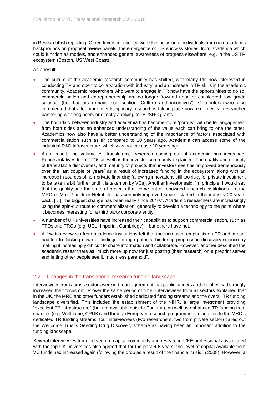in ResearchFish reporting. Other drivers mentioned were the inclusion of individuals from non-academic backgrounds on proposal review panels, the emergence of 'TR success stories' from academia which could function as models, and enhanced general awareness of progress elsewhere, e.g. in the US TR ecosystem (Boston, US West Coast).

As a result:

- The culture of the academic research community has shifted, with many PIs now interested in conducting TR and open to collaboration with industry, and an increase in TR skills in the academic community. Academic researchers who want to engage in TR now have the opportunities to do so; commercialisation and entrepreneurship are no longer frowned upon or considered 'low grade science' (but barriers remain, see section 'Culture and incentives'). One interviewee also commented that a lot more interdisciplinary research is taking place now, e.g. medical researcher partnering with engineers or directly applying for EPSRC grants.
- The boundary between industry and academia has become more 'porous', with better engagement from both sides and an enhanced understanding of the value each can bring to one the other. Academics now also have a better understanding of the importance of factors associated with commercialisation such as IP compared to 10 years ago. Academia can access some of the industrial R&D infrastructure, which was not the case 10 years ago.
- As a result, the volume of 'translatable' research coming out of academia has increased. Representatives from TTOs as well as the investor community explained: The quality and quantity of translatable discoveries, and maturity of projects that investors see has 'improved tremendously over the last couple of years' as a result of increased funding in the ecosystem along with an increase in sources of non-private financing (allowing innovations still too risky for private investment to be taken a bit further until it is taken on by VCs). Another investor said: "In principle, I would say that the quality and the state of projects that come out of renowned research institutions like the MRC or Max Planck or Helmholtz has certainly improved since I started in the industry 20 years back. […] The biggest change has been really since 2010.". Academic researchers are increasingly using the spin-out route to commercialisation, generally to develop a technology to the point where it becomes interesting for a third party corporate entity.
- A number of UK universities have increased their capabilities to support commercialisation, such as TTOs and TROs (e.g. UCL, Imperial, Cambridge) – but others have not.
- A few interviewees from academic institutions felt that the increased emphasis on TR and impact had led to 'locking down of findings' through patents, hindering progress in discovery science by making it increasingly difficult to share information and collaborate. However, another described the academic researchers as "much more up now for just posting [their research] on a preprint server and letting other people see it, much less paranoid".

#### <span id="page-4-0"></span>2.2 Changes in the translational research funding landscape

Interviewees from across sectors were in broad agreement that public funders and charities had strongly increased their focus on TR over the same period of time. Interviewees from all sectors explained that in the UK, the MRC and other funders established dedicated funding streams and the overall TR funding landscape diversified. This included the establishment of the NIHR, a large investment providing "excellent TR infrastructure" (but not available outside England), as well as enhanced TR funding from charities (e.g. Wellcome, CRUK) and through European research programmes. In addition to the MRC's dedicated TR funding streams, four interviewees (two researchers, two from private sector) called out the Wellcome Trust's Seeding Drug Discovery scheme as having been an important addition to the funding landscape.

Several interviewees from the venture capital community and researchers/KE professionals associated with the top UK universities also agreed that for the past 4-5 years, the level of capital available from VC funds had increased again (following the drop as a result of the financial crisis in 2008). However, a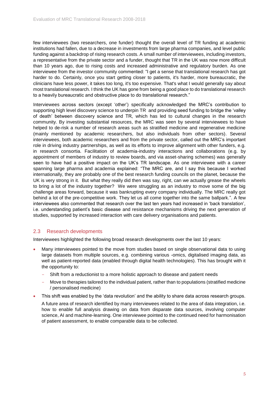few interviewees (two researchers, one funder) thought the overall level of TR funding at academic institutions had fallen, due to a decrease in investments from large pharma companies, and level public funding against a backdrop of rising research costs. A small number of interviewees, including investors, a representative from the private sector and a funder, thought that TR in the UK was now more difficult than 10 years ago, due to rising costs and increased administrative and regulatory burden. As one interviewee from the investor community commented: "I get a sense that translational research has got harder to do. Certainly, once you start getting closer to patients, it's harder, more bureaucratic, the clinicians have less power, it takes too long, it's too expensive. That's what I would generally say about most translational research. I think the UK has gone from being a good place to do translational research to a heavily bureaucratic and obstructive place to do translational research."

Interviewees across sectors (except 'other') specifically acknowledged the MRC's contribution to supporting high level discovery science to underpin TR and providing seed funding to bridge the 'valley of death' between discovery science and TR, which has led to cultural changes in the research community. By investing substantial resources, the MRC was seen by several interviewees to have helped to de-risk a number of research areas such as stratified medicine and regenerative medicine (mainly mentioned by academic researchers, but also individuals from other sectors). Several interviewees, both academic researchers and from the private sector, called out the MRC's important role in driving industry partnerships, as well as its efforts to improve alignment with other funders, e.g. in research consortia. Facilitation of academia-industry interactions and collaborations (e.g. by appointment of members of industry to review boards, and via asset-sharing schemes) was generally seen to have had a positive impact on the UK's TR landscape. As one interviewee with a career spanning large pharma and academia explained: "The MRC are, and I say this because I worked internationally, they are probably one of the best research funding councils on the planet, because the UK is very strong in it. But what they really did then was say, right, can we actually grease the wheels to bring a lot of the industry together? We were struggling as an industry to move some of the big challenge areas forward, because it was bankrupting every company individually. The MRC really got behind a lot of the pre-competitive work. They let us all come together into the same ballpark.". A few interviewees also commented that research over the last ten years had increased in 'back translation', i.e. understanding patient's basic disease and resistance mechanisms driving the next generation of studies, supported by increased interaction with care delivery organisations and patients.

#### <span id="page-5-0"></span>2.3 Research developments

Interviewees highlighted the following broad research developments over the last 10 years:

- Many interviewees pointed to the move from studies based on single observational data to using large datasets from multiple sources, e.g. combining various -omics, digitalised imaging data, as well as patient-reported data (enabled through digital health technologies). This has brought with it the opportunity to:
	- Shift from a reductionist to a more holistic approach to disease and patient needs
	- Move to therapies tailored to the individual patient, rather than to populations (stratified medicine / personalised medicine)
- This shift was enabled by the 'data revolution' and the ability to share data across research groups.

A future area of research identified by many interviewees related to the area of data integration, i.e. how to enable full analysis drawing on data from disparate data sources, involving computer science, AI and machine-learning. One interviewee pointed to the continued need for harmonisation of patient assessment, to enable comparable data to be collected.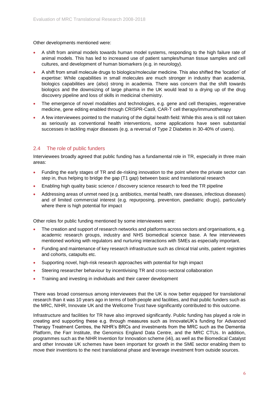Other developments mentioned were:

- A shift from animal models towards human model systems, responding to the high failure rate of animal models. This has led to increased use of patient samples/human tissue samples and cell cultures, and development of human biomarkers (e.g. in neurology).
- A shift from small molecule drugs to biologics/molecular medicine. This also shifted the 'location' of expertise: While capabilities in small molecules are much stronger in industry than academia, biologics capabilities are (also) strong in academia. There was concern that the shift towards biologics and the downsizing of large pharma in the UK would lead to a drying up of the drug discovery pipeline and loss of skills in medicinal chemistry.
- The emergence of novel modalities and technologies, e.g. gene and cell therapies, regenerative medicine, gene editing enabled through CRISPR-Cas9, CAR-T cell therapy/immunotherapy
- A few interviewees pointed to the maturing of the digital health field: While this area is still not taken as seriously as conventional health interventions, some applications have seen substantial successes in tackling major diseases (e.g. a reversal of Type 2 Diabetes in 30-40% of users).

#### <span id="page-6-0"></span>2.4 The role of public funders

Interviewees broadly agreed that public funding has a fundamental role in TR, especially in three main areas:

- Funding the early stages of TR and de-risking innovation to the point where the private sector can step in, thus helping to bridge the gap (T1 gap) between basic and translational research
- Enabling high quality basic science / discovery science research to feed the TR pipeline
- Addressing areas of unmet need (e.g. antibiotics, mental health, rare diseases, infectious diseases) and of limited commercial interest (e.g. repurposing, prevention, paediatric drugs), particularly where there is high potential for impact

Other roles for public funding mentioned by some interviewees were:

- The creation and support of research networks and platforms across sectors and organisations, e.g. academic research groups, industry and NHS biomedical science base. A few interviewees mentioned working with regulators and nurturing interactions with SMEs as especially important.
- Funding and maintenance of key research infrastructure such as clinical trial units, patient registries and cohorts, catapults etc.
- Supporting novel, high-risk research approaches with potential for high impact
- Steering researcher behaviour by incentivising TR and cross-sectoral collaboration
- Training and investing in individuals and their career development

There was broad consensus among interviewees that the UK is now better equipped for translational research than it was 10 years ago in terms of both people and facilities, and that public funders such as the MRC, NIHR, Innovate UK and the Wellcome Trust have significantly contributed to this outcome.

Infrastructure and facilities for TR have also improved significantly. Public funding has played a role in creating and supporting these e.g. through measures such as InnovateUK's funding for Advanced Therapy Treatment Centres, the NIHR's BRCs and investments from the MRC such as the Dementia Platform, the Farr Institute, the Genomics England Data Centre, and the MRC CTUs. In addition, programmes such as the NIHR Invention for Innovation scheme (i4i), as well as the Biomedical Catalyst and other Innovate UK schemes have been important for growth in the SME sector enabling them to move their inventions to the next translational phase and leverage investment from outside sources.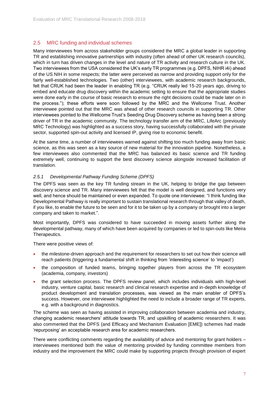#### <span id="page-7-0"></span>2.5 MRC funding and individual schemes

Many interviewees from across stakeholder groups considered the MRC a global leader in supporting TR and establishing innovative partnerships with industry (often ahead of other UK research councils), which in turn has driven changes in the level and nature of TR activity and research culture in the UK. Two interviewees from the USA considered the UK's early TR programmes (e.g. DPFS, NIHR i4i) ahead of the US NIH in some respects; the latter were perceived as narrow and providing support only for the fairly well-established technologies. Two (other) interviewees, with academic research backgrounds, felt that CRUK had been the leader in enabling TR (e.g. "CRUK really led 15-20 years ago, driving to embed and educate drug discovery within the academic setting to ensure that the appropriate studies were done early in the course of basic research to ensure the right decisions could be made later on in the process."); these efforts were soon followed by the MRC and the Wellcome Trust. Another interviewee pointed out that the MRC was ahead of other research councils in supporting TR. Other interviewees pointed to the Wellcome Trust's Seeding Drug Discovery scheme as having been a strong driver of TR in the academic community. The technology transfer arm of the MRC, LifeArc (previously MRC Technology) was highlighted as a success story, having successfully collaborated with the private sector, supported spin-out activity and licensed IP, giving rise to economic benefit.

At the same time, a number of interviewees warned against shifting too much funding away from basic science, as this was seen as a key source of new material for the innovation pipeline. Nonetheless, a few interviewees also commented that the MRC has balanced its basic science and TR funding extremely well, continuing to support the best discovery science alongside increased facilitation of translation.

#### *2.5.1 Developmental Pathway Funding Scheme (DPFS)*

The DPFS was seen as the key TR funding stream in the UK, helping to bridge the gap between discovery science and TR. Many interviewees felt that the model is well designed, and functions very well, and hence should be maintained or even expanded. To quote one interviewee: "I think funding like Developmental Pathway is really important to sustain translational research through that valley of death, if you like, to enable the future to be seen and for it to be taken up by a company or brought into a larger company and taken to market.".

Most importantly, DPFS was considered to have succeeded in moving assets further along the developmental pathway, many of which have been acquired by companies or led to spin-outs like Meira Therapeutics.

There were positive views of:

- the milestone-driven approach and the requirement for researchers to set out how their science will reach patients (triggering a fundamental shift in thinking from 'interesting science' to 'impact')
- the composition of funded teams, bringing together players from across the TR ecosystem (academia, company, investors)
- the grant selection process. The DPFS review panel, which includes individuals with high-level industry, venture capital, basic research and clinical research expertise and in-depth knowledge of product development and translation processes, was viewed as the main enabler of DPFS's success. However, one interviewee highlighted the need to include a broader range of TR experts, e.g. with a background in diagnostics.

The scheme was seen as having assisted in improving collaboration between academia and industry, changing academic researchers' attitude towards TR, and upskilling of academic researchers. It was also commented that the DPFS (and Efficacy and Mechanism Evaluation [EME]) schemes had made 'repurposing' an acceptable research area for academic researchers.

There were conflicting comments regarding the availability of advice and mentoring for grant holders – interviewees mentioned both the value of mentoring provided by funding committee members from industry and the improvement the MRC could make by supporting projects through provision of expert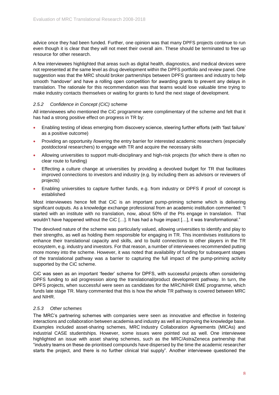advice once they had been funded. Further, one opinion was that many DPFS projects continue to run even though it is clear that they will not meet their overall aim. These should be terminated to free up resource for other research.

A few interviewees highlighted that areas such as digital health, diagnostics, and medical devices were not represented at the same level as drug development within the DPFS portfolio and review panel. One suggestion was that the MRC should broker partnerships between DPFS grantees and industry to help smooth 'handover' and have a rolling open competition for awarding grants to prevent any delays in translation. The rationale for this recommendation was that teams would lose valuable time trying to make industry contacts themselves or waiting for grants to fund the next stage of development.

#### *2.5.2 Confidence in Concept (CiC) scheme*

All interviewees who mentioned the CiC programme were complimentary of the scheme and felt that it has had a strong positive effect on progress in TR by:

- Enabling testing of ideas emerging from discovery science, steering further efforts (with 'fast failure' as a positive outcome)
- Providing an opportunity /lowering the entry barrier for interested academic researchers (especially postdoctoral researchers) to engage with TR and acquire the necessary skills
- Allowing universities to support multi-disciplinary and high-risk projects (for which there is often no clear route to funding)
- Effecting a culture change at universities by providing a devolved budget for TR that facilitates improved connections to investors and industry (e.g. by including them as advisors or reviewers of projects)
- Enabling universities to capture further funds, e.g. from industry or DPFS if proof of concept is established

Most interviewees hence felt that CiC is an important pump-priming scheme which is delivering significant outputs. As a knowledge exchange professional from an academic institution commented: "I started with an institute with no translation, now, about 50% of the PIs engage in translation. That wouldn't have happened without the CiC […]. It has had a huge impact […], it was transformational."

The devolved nature of the scheme was particularly valued, allowing universities to identify and play to their strengths, as well as holding them responsible for engaging in TR. This incentivises institutions to enhance their translational capacity and skills, and to build connections to other players in the TR ecosystem, e.g. industry and investors. For that reason, a number of interviewees recommended putting more money into the scheme. However, it was noted that availability of funding for subsequent stages of the translational pathway was a barrier to capturing the full impact of the pump-priming activity supported by the CiC scheme.

CiC was seen as an important 'feeder' scheme for DPFS, with successful projects often considering DPFS funding to aid progression along the translational/product development pathway. In turn, the DPFS projects, when successful were seen as candidates for the MRC/NIHR EME programme, which funds late stage TR. Many commented that this is how the whole TR pathway is covered between MRC and NIHR.

#### *2.5.3 Other schemes*

The MRC's partnering schemes with companies were seen as innovative and effective in fostering interactions and collaboration between academia and industry as well as improving the knowledge base. Examples included asset-sharing schemes, MRC Industry Collaboration Agreements (MICAs) and industrial CASE studentships. However, some issues were pointed out as well. One interviewee highlighted an issue with asset sharing schemes, such as the MRC/AstraZeneca partnership that "industry teams on these de-prioritised compounds have dispersed by the time the academic researcher starts the project, and there is no further clinical trial supply". Another interviewee questioned the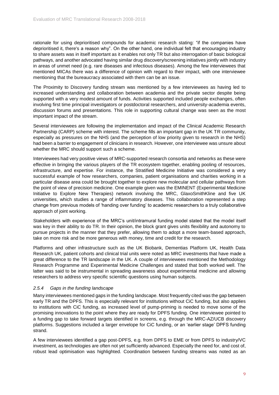rationale for using deprioritised compounds for academic research stating: "if the companies have deprioritised it, there's a reason why". On the other hand, one individual felt that encouraging industry to share assets was in itself important as it enables not only TR but also interrogation of basic biological pathways, and another advocated having similar drug discovery/screening initiatives jointly with industry in areas of unmet need (e.g. rare diseases and infectious diseases). Among the few interviewees that mentioned MICAs there was a difference of opinion with regard to their impact, with one interviewee mentioning that the bureaucracy associated with them can be an issue.

The Proximity to Discovery funding stream was mentioned by a few interviewees as having led to increased understanding and collaboration between academia and the private sector despite being supported with a very modest amount of funds. Activities supported included people exchanges, often involving first time principal investigators or postdoctoral researchers, and university-academia events, discussion forums and presentations. This role in supporting cultural change was seen as the most important impact of the stream.

Several interviewees are following the implementation and impact of the Clinical Academic Research Partnership (CARP) scheme with interest. The scheme fills an important gap in the UK TR community, especially as pressures on the NHS (and the perception of low priority given to research in the NHS) had been a barrier to engagement of clinicians in research. However, one interviewee was unsure about whether the MRC should support such a scheme.

Interviewees had very positive views of MRC-supported research consortia and networks as these were effective in bringing the various players of the TR ecosystem together, enabling pooling of resources, infrastructure, and expertise. For instance, the Stratified Medicine Initiative was considered a very successful example of how researchers, companies, patient organisations and charities working in a particular disease area could be brought together to explore new molecular and cellular pathways from the point of view of precision medicine. One example given was the EMINENT (Experimental Medicine Initiative to Explore New Therapies) network involving the MRC, GlaxoSmithKline and five UK universities, which studies a range of inflammatory diseases. This collaboration represented a step change from previous models of 'handing over funding' to academic researchers to a truly collaborative approach of joint working.

Stakeholders with experience of the MRC's unit/intramural funding model stated that the model itself was key in their ability to do TR. In their opinion, the block grant gives units flexibility and autonomy to pursue projects in the manner that they prefer, allowing them to adopt a more team-based approach, take on more risk and be more generous with money, time and credit for the research.

Platforms and other infrastructure such as the UK Biobank, Dementias Platform UK, Health Data Research UK, patient cohorts and clinical trial units were noted as MRC investments that have made a great difference to the TR landscape in the UK. A couple of interviewees mentioned the Methodology Research Programme and Experimental Medicine Challenges and stated that both worked well. The latter was said to be instrumental in spreading awareness about experimental medicine and allowing researchers to address very specific scientific questions using human subjects.

#### *2.5.4 Gaps in the funding landscape*

Many interviewees mentioned gaps in the funding landscape. Most frequently cited was the gap between early TR and the DPFS. This is especially relevant for institutions without CiC funding, but also applies to institutions with CiC funding, as increased level of pump-priming is needed to move some of the promising innovations to the point where they are ready for DPFS funding. One interviewee pointed to a funding gap to take forward targets identified in screens, e.g. through the MRC-AZ/UCB discovery platforms. Suggestions included a larger envelope for CiC funding, or an 'earlier stage' DPFS funding strand.

A few interviewees identified a gap post-DPFS, e.g. from DPFS to EME or from DPFS to industry/VC investment, as technologies are often not yet sufficiently advanced. Especially the need for, and cost of, robust lead optimisation was highlighted. Coordination between funding streams was noted as an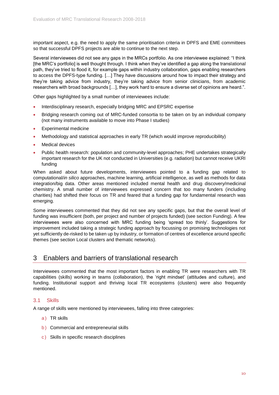important aspect, e.g. the need to apply the same prioritisation criteria in DPFS and EME committees so that successful DPFS projects are able to continue to the next step.

Several interviewees did not see any gaps in the MRCs portfolio. As one interviewee explained: "I think [the MRC's portfolio] is well thought through. I think when they've identified a gap along the translational path, they've tried to flood it, for example gaps within industry collaboration, gaps enabling researchers to access the DPFS-type funding. […] They have discussions around how to impact their strategy and they're taking advice from industry, they're taking advice from senior clinicians, from academic researchers with broad backgrounds […], they work hard to ensure a diverse set of opinions are heard.".

Other gaps highlighted by a small number of interviewees include:

- Interdisciplinary research, especially bridging MRC and EPSRC expertise
- Bridging research coming out of MRC-funded consortia to be taken on by an individual company (not many instruments available to move into Phase I studies)
- Experimental medicine
- Methodology and statistical approaches in early TR (which would improve reproducibility)
- Medical devices
- Public health research: population and community-level approaches; PHE undertakes strategically important research for the UK not conducted in Universities (e.g. radiation) but cannot receive UKRI funding

When asked about future developments, interviewees pointed to a funding gap related to computational/*in silico* approaches, machine learning, artificial intelligence, as well as methods for data integration/big data. Other areas mentioned included mental health and drug discovery/medicinal chemistry. A small number of interviewees expressed concern that too many funders (including charities) had shifted their focus on TR and feared that a funding gap for fundamental research was emerging.

Some interviewees commented that they did not see any specific gaps, but that the overall level of funding was insufficient (both, per project and number of projects funded) (see section [Funding\)](#page-14-0). A few interviewees were also concerned with MRC funding being 'spread too thinly'. Suggestions for improvement included taking a strategic funding approach by focussing on promising technologies not yet sufficiently de-risked to be taken up by industry, or formation of centres of excellence around specific themes (see section [Local clusters and thematic networks\)](#page-20-1).

#### <span id="page-10-0"></span>3 Enablers and barriers of translational research

Interviewees commented that the most important factors in enabling TR were researchers with TR capabilities (skills) working in teams (collaboration), the 'right mindset' (attitudes and culture), and funding. Institutional support and thriving local TR ecosystems (clusters) were also frequently mentioned.

#### <span id="page-10-1"></span>3.1 Skills

A range of skills were mentioned by interviewees, falling into three categories:

- a) TR skills
- b) Commercial and entrepreneurial skills
- c ) Skills in specific research disciplines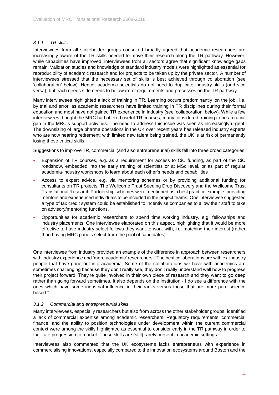#### *3.1.1 TR skills*

Interviewees from all stakeholder groups consulted broadly agreed that academic researchers are increasingly aware of the TR skills needed to move their research along the TR pathway. However, while capabilities have improved, interviewees from all sectors agree that significant knowledge gaps remain. Validation studies and knowledge of standard industry models were highlighted as essential for reproducibility of academic research and for projects to be taken up by the private sector. A number of interviewees stressed that the necessary set of skills is best achieved through collaboration (see 'collaboration' below). Hence, academic scientists do not need to duplicate industry skills (and vice versa), but each needs side needs to be aware of requirements and processes on the TR pathway.

Many interviewees highlighted a lack of training in TR. Learning occurs predominantly 'on the job', i.e. by trial and error, as academic researchers have limited training in TR disciplines during their formal education and most have not gained TR experience in industry (see 'collaboration' below). While a few interviewees thought the MRC had offered useful TR courses, many considered training to be a crucial gap in the MRC's support activities. The need to address this issue was seen as increasingly urgent: The downsizing of large pharma operations in the UK over recent years has released industry experts who are now nearing retirement; with limited new talent being trained, the UK is at risk of permanently losing these critical skills.

Suggestions to improve TR, commercial (and also entrepreneurial) skills fell into three broad categories:

- Expansion of TR courses, e.g. as a requirement for access to CiC funding, as part of the CiC roadshow, embedded into the early training of scientists or at MSc level, or as part of regular academia-industry workshops to learn about each other's needs and capabilities
- Access to expert advice, e.g. via mentoring schemes or by providing additional funding for consultants on TR projects. The Wellcome Trust Seeding Drug Discovery and the Wellcome Trust Translational Research Partnership schemes were mentioned as a best practice example, providing mentors and experienced individuals to be included in the project teams. One interviewee suggested a type of tax credit system could be established to incentivise companies to allow their staff to take on advisory/mentoring functions.
- Opportunities for academic researchers to spend time working industry, e.g. fellowships and industry placements. One interviewee elaborated on this aspect, highlighting that it would be more effective to have industry select fellows they want to work with, i.e. matching their interest (rather than having MRC panels select from the pool of candidates).

One interviewee from industry provided an example of the difference in approach between researchers with industry experience and 'more academic' researchers: "The best collaborations are with ex-industry people that have gone out into academia. Some of the collaborations we have with academics are sometimes challenging because they don't really see, they don't really understand well how to progress their project forward. They're quite involved in their own piece of research and they want to go deep rather than going forward sometimes. It also depends on the institution - I do see a difference with the ones which have some industrial influence in their ranks versus those that are more pure science based."

#### *3.1.2 Commercial and entrepreneurial skills*

Many interviewees, especially researchers but also from across the other stakeholder groups, identified a lack of commercial expertise among academic researchers. Regulatory requirements, commercial finance, and the ability to position technologies under development within the current commercial context were among the skills highlighted as essential to consider early in the TR pathway in order to facilitate progression to market. These skills are (still) rarely present in academic settings.

Interviewees also commented that the UK ecosystems lacks entrepreneurs with experience in commercialising innovations, especially compared to the innovation ecosystems around Boston and the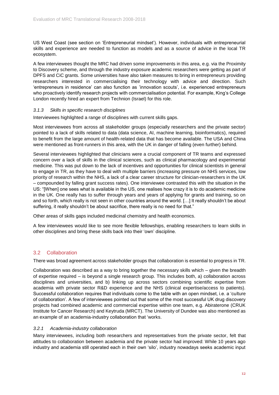US West Coast (see section on 'Entrepreneurial mindset'). However, individuals with entrepreneurial skills and experience are needed to function as models and as a source of advice in the local TR ecosystem.

A few interviewees thought the MRC had driven some improvements in this area, e.g. via the Proximity to Discovery scheme, and through the industry exposure academic researchers were getting as part of DPFS and CiC grants. Some universities have also taken measures to bring in entrepreneurs providing researchers interested in commercialising their technology with advice and direction. Such 'entrepreneurs in residence' can also function as 'innovation scouts', i.e. experienced entrepreneurs who proactively identify research projects with commercialisation potential. For example, King's College London recently hired an expert from Technion (Israel) for this role.

#### *3.1.3 Skills in specific research disciplines*

Interviewees highlighted a range of disciplines with current skills gaps.

Most interviewees from across all stakeholder groups (especially researchers and the private sector) pointed to a lack of skills related to data (data science, AI, machine learning, bioinformatics), required to benefit from the large amount of health-related data that has become available. The USA and China were mentioned as front-runners in this area, with the UK in danger of falling (even further) behind.

Several interviewees highlighted that clinicians were a crucial component of TR teams and expressed concern over a lack of skills in the clinical sciences, such as clinical pharmacology and experimental medicine. This was put down to the lack of incentives and opportunities for clinical scientists in general to engage in TR, as they have to deal with multiple barriers (increasing pressure on NHS services, low priority of research within the NHS, a lack of a clear career structure for clinician-researchers in the UK – compounded by falling grant success rates). One interviewee contrasted this with the situation in the US: "[When] one sees what is available in the US, one realises how crazy it is to do academic medicine in the UK. One really has to suffer through years and years of applying for grants and training, so on and so forth, which really is not seen in other countries around the world. […] It really shouldn't be about suffering, it really shouldn't be about sacrifice, there really is no need for that."

Other areas of skills gaps included medicinal chemistry and health economics.

A few interviewees would like to see more flexible fellowships, enabling researchers to learn skills in other disciplines and bring these skills back into their 'own' discipline.

#### <span id="page-12-0"></span>3.2 Collaboration

There was broad agreement across stakeholder groups that collaboration is essential to progress in TR.

Collaboration was described as a way to bring together the necessary skills which – given the breadth of expertise required – is beyond a single research group. This includes both, a) collaboration across disciplines and universities, and b) linking up across sectors combining scientific expertise from academia with private sector R&D experience and the NHS (clinical expertise/access to patients). Successful collaboration requires that individuals come to the table with an open mindset, i.e. a 'culture of collaboration'. A few of interviewees pointed out that some of the most successful UK drug discovery projects had combined academic and commercial expertise within one team, e.g. Abiraterone (CRUK Institute for Cancer Research) and Keytruda (MRCT). The University of Dundee was also mentioned as an example of an academia-industry collaboration that 'works.

#### <span id="page-12-1"></span>*3.2.1 Academia-industry collaboration*

Many interviewees, including both researchers and representatives from the private sector, felt that attitudes to collaboration between academia and the private sector had improved: While 10 years ago industry and academia still operated each in their own 'silo', industry nowadays seeks academic input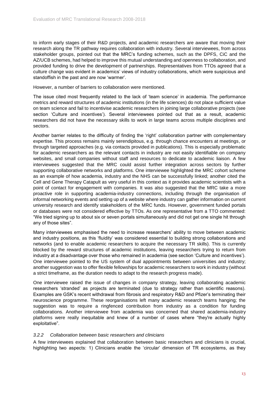to inform early stages of their R&D projects, and academic researchers are aware that moving their research along the TR pathway requires collaboration with industry. Several interviewees, from across stakeholder groups, pointed out that the MRC's funding schemes, such as the DPFS, CiC and the AZ/UCB schemes, had helped to improve this mutual understanding and openness to collaboration, and provided funding to drive the development of partnerships. Representatives from TTOs agreed that a culture change was evident in academics' views of industry collaborations, which were suspicious and standoffish in the past and are now 'warmer'.

However, a number of barriers to collaboration were mentioned.

The issue cited most frequently related to the lack of 'team science' in academia. The performance metrics and reward structures of academic institutions (in the life sciences) do not place sufficient value on team science and fail to incentivise academic researchers in joining large collaborative projects (see section 'Culture and incentives'). Several interviewees pointed out that as a result, academic researchers did not have the necessary skills to work in large teams across multiple disciplines and sectors.

Another barrier relates to the difficulty of finding the 'right' collaboration partner with complementary expertise. This process remains mainly serendipitous, e.g. through chance encounters at meetings, or through targeted approaches (e.g. via contacts provided in publications). This is especially problematic for academic researchers as the relevant contacts in industry are not easily identifiable on company websites, and small companies without staff and resources to dedicate to academic liaison. A few interviewees suggested that the MRC could assist further integration across sectors by further supporting collaborative networks and platforms. One interviewee highlighted the MRC cohort scheme as an example of how academia, industry and the NHS can be successfully linked; another cited the Cell and Gene Therapy Catapult as very useful in this context as it provides academic scientists with a point of contact for engagement with companies. It was also suggested that the MRC take a more proactive role in supporting academia-industry connections, including through the organisation of informal networking events and setting up of a website where industry can gather information on current university research and identify stakeholders of the MRC funds. However, government funded portals or databases were not considered effective by TTOs. As one representative from a TTO commented: "We tried signing up to about six or seven portals simultaneously and did not get one single hit through any of those sites".

Many interviewees emphasised the need to increase researchers' ability to move between academic and industry positions, as this 'fluidity' was considered essential to building strong collaborations and networks (and to enable academic researchers to acquire the necessary TR skills). This is currently blocked by the reward structures of academic institutions, leaving researchers trying to return from industry at a disadvantage over those who remained in academia (see section 'Culture and incentives'). One interviewee pointed to the US system of dual appointments between universities and industry; another suggestion was to offer flexible fellowships for academic researchers to work in industry (without a strict timeframe, as the duration needs to adapt to the research progress made).

One interviewee raised the issue of changes in company strategy, leaving collaborating academic researchers 'stranded' as projects are terminated (due to strategy rather than scientific reasons). Examples are GSK's recent withdrawal from fibrosis and respiratory R&D and Pfizer's terminating their neuroscience programme. These reorganisations left many academic research teams hanging; the suggestion was to require a ringfenced contribution from industry as a condition for funding collaborations. Another interviewee from academia was concerned that shared academia-industry platforms were really inequitable and knew of a number of cases where "they're actually highly exploitative".

#### *3.2.2 Collaboration between basic researchers and clinicians*

A few interviewees explained that collaboration between basic researchers and clinicians is crucial, highlighting two aspects: 1) Clinicians enable the 'circular' dimension of TR ecosystems, as they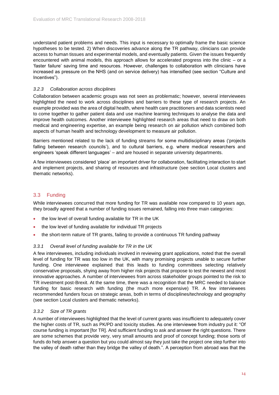understand patient problems and needs. This input is necessary to optimally frame the basic science hypotheses to be tested. 2) When discoveries advance along the TR pathway, clinicians can provide access to human tissues and experimental models, and eventually patients. Given the issues frequently encountered with animal models, this approach allows for accelerated progress into the clinic – or a 'faster failure' saving time and resources. However, challenges to collaboration with clinicians have increased as pressure on the NHS (and on service delivery) has intensified (see section "Culture and Incentives").

#### *3.2.3 Collaboration across disciplines*

Collaboration between academic groups was not seen as problematic; however, several interviewees highlighted the need to work across disciplines and barriers to these type of research projects. An example provided was the area of digital health, where health care practitioners and data scientists need to come together to gather patient data and use machine learning techniques to analyse the data and improve health outcomes. Another interviewee highlighted research areas that need to draw on both medical and engineering expertise, an example being research on air pollution which combined both aspects of human health and technology development to measure air pollution.

Barriers mentioned related to the lack of funding streams for some multidisciplinary areas ('projects falling between research councils'), and to cultural barriers, e.g. where medical researchers and engineers 'speak different languages' – and are housed in separate university departments.

A few interviewees considered 'place' an important driver for collaboration, facilitating interaction to start and implement projects, and sharing of resources and infrastructure (see section [Local clusters and](#page-20-1)  [thematic networks\)](#page-20-1).

#### <span id="page-14-0"></span>3.3 Funding

While interviewees concurred that more funding for TR was available now compared to 10 years ago, they broadly agreed that a number of funding issues remained, falling into three main categories:

- the low level of overall funding available for TR in the UK
- the low level of funding available for individual TR projects
- the short-term nature of TR grants, failing to provide a continuous TR funding pathway

#### *3.3.1 Overall level of funding available for TR in the UK*

A few interviewees, including individuals involved in reviewing grant applications, noted that the overall level of funding for TR was too low in the UK, with many promising projects unable to secure further funding. One interviewee explained that this leads to funding committees selecting relatively conservative proposals, shying away from higher risk projects that propose to test the newest and most innovative approaches. A number of interviewees from across stakeholder groups pointed to the risk to TR investment post-Brexit. At the same time, there was a recognition that the MRC needed to balance funding for basic research with funding (the much more expensive) TR. A few interviewees recommended funders focus on strategic areas, both in terms of disciplines/technology and geography (see section [Local clusters and thematic networks\)](#page-20-1).

#### *3.3.2 Size of TR grants*

A number of interviewees highlighted that the level of current grants was insufficient to adequately cover the higher costs of TR, such as PK/PD and toxicity studies. As one interviewee from industry put it: "Of course funding is important [for TR]. And sufficient funding to ask and answer the right questions. There are some schemes that provide very, very small amounts and proof of concept funding; those sorts of funds do help answer a question but you could almost say they just take the project one step further into the valley of death rather than they bridge the valley of death.". A perception from abroad was that the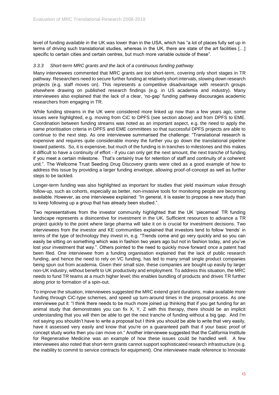level of funding available in the UK was lower than in the USA, which has "a lot of places fully set up in terms of driving such translational studies, whereas in the UK, there are state of the art facilities [...] specific to certain cities and certain centres, but much more variable outside of these".

#### *3.3.3 Short-term MRC grants and the lack of a continuous funding pathway*

Many interviewees commented that MRC grants are too short-term, covering only short stages in TR pathway. Researchers need to secure further funding at relatively short intervals, slowing down research projects (e.g. staff moves on). This represents a competitive disadvantage with research groups elsewhere drawing on published research findings (e.g. in US academia and industry). Many interviewees also explained that the lack of a clear, 'no-gap' funding pathway discourages academic researchers from engaging in TR.

While funding streams in the UK were considered more linked up now than a few years ago, some issues were highlighted, e.g. moving from CiC to DPFS (see section above) and from DPFS to EME. Coordination between funding streams was noted as an important aspect, e.g. the need to apply the same prioritisation criteria in DPFS and EME committees so that successful DPFS projects are able to continue to the next step. As one interviewee summarised the challenge: "Translational research is expensive and requires quite considerable money the further you go down the translational pipeline toward patients. So, it is expensive, but much of the funding is in tranches to milestones and this makes it difficult to have a continuity of effort - if you can only get the next amount, the next tranche of funding if you meet a certain milestone. That's certainly true for retention of staff and continuity of a coherent unit.". The Wellcome Trust Seeding Drug Discovery grants were cited as a good example of how to address this issue by providing a larger funding envelope, allowing proof-of-concept as well as further steps to be tackled.

Longer-term funding was also highlighted as important for studies that yield maximum value through follow-up, such as cohorts, especially as better, non-invasive tools for monitoring people are becoming available. However, as one interviewee explained: "In general, it is easier to propose a new study than to keep following up a group that has already been studied.".

Two representatives from the investor community highlighted that the UK 'piecemeal' TR funding landscape represents a disincentive for investment in the UK. Sufficient resources to advance a TR project quickly to the point where large pharma will take it on is crucial for investment decisions. Two interviewees from the investor and KE communities explained that investors tend to follow 'trends' in terms of the type of technology they invest in, e.g. "Trends come and go very quickly and so you can easily be sitting on something which was in fashion two years ago but not in fashion today, and you've lost your investment that way.". Others pointed to the need to quickly move forward once a patent had been filed. One interviewee from a funding organisation explained that the lack of public research funding, and hence the need to rely on VC funding, has led to many small single product companies being spun out from academia. Given their small size, these companies are bought up easily by larger non-UK industry, without benefit to UK productivity and employment. To address this situation, the MRC needs to fund TR teams at a much higher level; this enables bundling of products and drives TR further along prior to formation of a spin-out.

To improve the situation, interviewees suggested the MRC extend grant durations, make available more funding through CiC-type schemes, and speed up turn-around times in the proposal process. As one interviewee put it: "I think there needs to be much more joined up thinking that if you get funding for an animal study that demonstrates you can fix X, Y, Z with this therapy, there should be an implicit understanding that you will then be able to get the next tranche of funding without a big gap. And I'm not saying you shouldn't have to write a proposal but I think you should be able to write that very easily, have it assessed very easily and know that you're on a quaranteed path that if your basic proof of concept study works then you can move on." Another interviewee suggested that the California Institute for Regenerative Medicine was an example of how these issues could be handled well. A few interviewees also noted that short-term grants cannot support sophisticated research infrastructure (e.g. the inability to commit to service contracts for equipment). One interviewee made reference to Innovate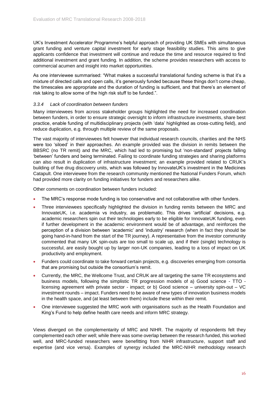UK's Investment Accelerator Programme's helpful approach of providing UK SMEs with simultaneous grant funding and venture capital investment for early stage feasibility studies. This aims to give applicants confidence that investment will continue and reduce the time and resource required to find additional investment and grant funding. In addition, the scheme provides researchers with access to commercial acumen and insight into market opportunities.

As one interviewee summarised: "What makes a successful translational funding scheme is that it's a mixture of directed calls and open calls, it's generously funded because these things don't come cheap, the timescales are appropriate and the duration of funding is sufficient, and that there's an element of risk taking to allow some of the high risk stuff to be funded.".

#### *3.3.4 Lack of coordination between funders*

Many interviewees from across stakeholder groups highlighted the need for increased coordination between funders, in order to ensure strategic oversight to inform infrastructure investments, share best practice, enable funding of multidisciplinary projects (with 'data' highlighted as cross-cutting field), and reduce duplication, e.g. through multiple review of the same proposals.

The vast majority of interviewees felt however that individual research councils, charities and the NHS were too 'siloed' in their approaches. An example provided was the division in remits between the BBSRC (no TR remit) and the MRC, which had led to promising but 'non-standard' projects falling 'between' funders and being terminated. Failing to coordinate funding strategies and sharing platforms can also result in duplication of infrastructure investment; an example provided related to CRUK's building of five drug discovery units, which was followed by InnovateUK's investment in the Medicines Catapult. One interviewee from the research community mentioned the National Funders Forum, which had provided more clarity on funding initiatives for funders and researchers alike.

Other comments on coordination between funders included:

- The MRC's response mode funding is too conservative and not collaborative with other funders.
- Three interviewees specifically highlighted the division in funding remits between the MRC and InnovateUK, i.e. academia vs industry, as problematic. This drives 'artificial' decisions, e.g. academic researchers spin out their technologies early to be eligible for InnovateUK funding, even if further development in the academic environment would be of advantage, and reinforces the perception of a division between 'academic' and 'industry' research (when in fact they should be going hand-in-hand from the start of the TR journey). A representative from the investor community commented that many UK spin-outs are too small to scale up, and if their (single) technology is successful, are easily bought up by larger non-UK companies, leading to a loss of impact on UK productivity and employment.
- Funders could coordinate to take forward certain projects, e.g. discoveries emerging from consortia that are promising but outside the consortium's remit.
- Currently, the MRC, the Wellcome Trust, and CRUK are all targeting the same TR ecosystems and business models, following the simplistic TR progression models of a) Good science - TTO licensing agreement with private sector - impact; or b) Good science – university spin-out – VC investment rounds – impact. Funders need to be aware of new types of innovation business models in the health space, and (at least between them) include these within their remit.
- One interviewee suggested the MRC work with organisations such as the Health Foundation and King's Fund to help define health care needs and inform MRC strategy.

Views diverged on the complementarity of MRC and NIHR. The majority of respondents felt they complemented each other well; while there was some overlap between the research funded, this worked well, and MRC-funded researchers were benefitting from NIHR infrastructure, support staff and expertise (and vice versa). Examples of synergy included the MRC-NIHR methodology research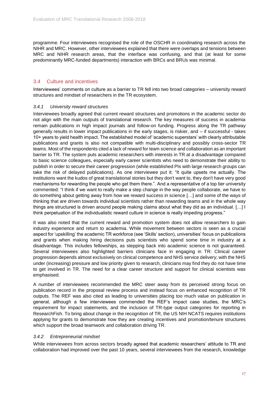programme. Four interviewees recognised the role of the OSCHR in coordinating research across the NIHR and MRC. However, other interviewees explained that there were overlaps and tensions between MRC and NIHR research areas, that the interface was confusing, and that (at least for some predominantly MRC-funded departments) interaction with BRCs and BRUs was minimal.

#### <span id="page-17-0"></span>3.4 Culture and incentives

Interviewees' comments on culture as a barrier to TR fell into two broad categories – university reward structures and mindset of researchers in the TR ecosystem.

#### *3.4.1 University reward structures*

Interviewees broadly agreed that current reward structures and promotions in the academic sector do not align with the main outputs of translational research. The key measures of success in academia remain publications in high impact journals and follow-on funding. Progress along the TR pathway generally results in lower impact publications in the early stages, is riskier, and – if successful - takes 10+ years to yield health impact. The established model of 'academic superstars' with clearly attributable publications and grants is also not compatible with multi-disciplinary and possibly cross-sector TR teams. Most of the respondents cited a lack of reward for team science and collaboration as an important barrier to TR. The system puts academic researchers with interests in TR at a disadvantage compared to basic science colleagues, especially early career scientists who need to demonstrate their ability to publish in order to secure their career progression (while established PIs with large research groups can take the risk of delayed publications). As one interviewee put it: "It quite upsets me actually. The institutions want the kudos of great translational stories but they don't want to, they don't have very good mechanisms for rewarding the people who get them there.". And a representative of a top tier university commented: "I think if we want to really make a step change in the way people collaborate, we have to do something about getting away from how we reward success in science […] and some of the ways of thinking that are driven towards individual scientists rather than rewarding teams and in the whole way things are structured is driven around people making claims about what they did as an individual. […] I think perpetuation of the individualistic reward culture in science is really impeding progress."

It was also noted that the current reward and promotion system does not allow researchers to gain industry experience and return to academia. While movement between sectors is seen as a crucial aspect for 'upskilling' the academic TR workforce (see 'Skills' section), universities' focus on publications and grants when making hiring decisions puts scientists who spend some time in industry at a disadvantage. This includes fellowships, as stepping back into academic science is not guaranteed. Several interviewees also highlighted barriers clinicians face in engaging in TR: Clinical career progression depends almost exclusively on clinical competence and NHS service delivery; with the NHS under (increasing) pressure and low priority given to research, clinicians may find they do not have time to get involved in TR. The need for a clear career structure and support for clinical scientists was emphasised.

A number of interviewees recommended the MRC steer away from its perceived strong focus on publication record in the proposal review process and instead focus on enhanced recognition of TR outputs. The REF was also cited as leading to universities placing too much value on publication in general, although a few interviewees commended the REF's impact case studies, the MRC's requirement for impact statements, and the inclusion of TR-type output categories for reporting in ResearchFish. To bring about change in the recognition of TR, the US NIH NCATS requires institutions applying for grants to demonstrate how they are creating incentives and promotion/tenure structures which support the broad teamwork and collaboration driving TR.

#### *3.4.2 Entrepreneurial mindset*

While interviewees from across sectors broadly agreed that academic researchers' attitude to TR and collaboration had improved over the past 10 years, several interviewees from the research, knowledge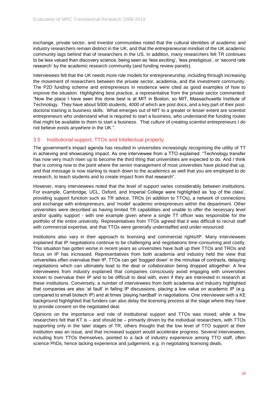exchange, private sector, and investor communities noted that the cultural identities of academic and industry researchers remain distinct in the UK, and that the entrepreneurial mindset of the UK academic community lags behind that of researchers in the US. In addition, many researchers felt TR continues to be less valued than discovery science, being seen as 'less exciting', 'less prestigious', or 'second rate research' by the academic research community (and funding review panels).

Interviewees felt that the UK needs more role models for entrepreneurship, including through increasing the movement of researchers between the private sector, academia, and the investment community. The P2D funding scheme and entrepreneurs in residence were cited as good examples of how to improve the situation. Highlighting best practice, a representative from the private sector commented: "Now the place I have seen this done best is at MIT in Boston, so MIT, Massachusetts Institute of Technology. They have about 5000 students, 4000 of which are post docs, and a key part of their postdoctoral training is business skills. What emerges out of MIT to a greater or lesser extent are scientist entrepreneurs who understand what is required to start a business, who understand the funding routes that might be available to them to start a business. That culture of creating scientist entrepreneurs I do not believe exists anywhere in the UK.".

#### <span id="page-18-0"></span>3.5 Institutional support, TTOs and Intellectual property

The government's impact agenda has resulted in universities increasingly recognising the utility of TT in achieving and showcasing impact. As one interviewee from a TTO explained: "Technology transfer has now very much risen up to become the third thing that universities are expected to do. And I think that is coming now to the point where the senior management of most universities have picked that up, and that message is now starting to reach down to the academics as well that you are employed to do research, to teach students and to create impact from that research".

However, many interviewees noted that the level of support varies considerably between institutions. For example, Cambridge, UCL, Oxford, and Imperial College were highlighted as 'top of the class', providing support function such as TR advice, TROs (in addition to TTOs), a network of connections and exchange with entrepreneurs, and 'model' academic entrepreneurs within the department. Other universities were described as having limited TR capabilities and unable to offer the necessary level and/or quality support - with one example given where a single TT officer was responsible for the portfolio of the entire university. Representatives from TTOs agreed that it was difficult to recruit staff with commercial expertise, and that TTOs were generally understaffed and under-resourced.

Institutions also vary in their approach to licensing and commercial rights/IP. Many interviewees explained that IP negotiations continue to be challenging and negotiations time-consuming and costly. This situation has gotten worse in recent years as universities have built up their TTOs and TROs and focus on IP has increased. Representatives from both academia and industry held the view that universities often overvalue their IP. TTOs can get 'bogged down' in the minutiae of contracts, delaying negotiations which can ultimately lead to the deal or collaboration being dropped altogether. A few interviewees from industry explained that companies consciously avoid engaging with universities known to overvalue their IP and to be difficult to deal with, even if they are interested in research at these institutions. Conversely, a number of interviewees from both academia and industry highlighted that companies are also 'at fault' in failing IP discussions, placing a low value on academic IP (e.g. compared to small biotech IP) and at times 'playing hardball' in negotiations. One interviewee with a KE background highlighted that funders can also delay the licensing process at the stage where they have to provide consent on the negotiated deal.

Opinions on the importance and role of institutional support and TTOs was mixed; while a few researchers felt that KT is – and should be – primarily driven by the individual researchers, with TTOs supporting only in the later stages of TR, others thought that the low level of TTO support at their institution was an issue, and that increased support would accelerate progress. Several interviewees, including from TTOs themselves, pointed to a lack of industry experience among TTO staff, often science PhDs, hence lacking experience and judgement, e.g. in negotiating licensing deals.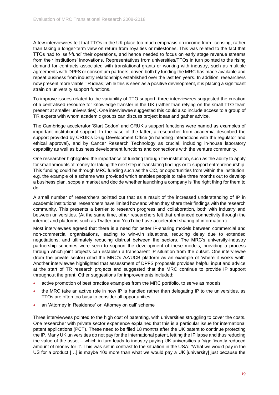A few interviewees felt that TTOs in the UK place too much emphasis on income from licensing, rather than taking a longer-term view on return from royalties or milestones. This was related to the fact that TTOs had to 'self-fund' their operations, and hence needed to focus on early stage revenue streams from their institutions' innovations. Representatives from universities/TTOs in turn pointed to the rising demand for contracts associated with translational grants or working with industry, such as multiple agreements with DPFS or consortium partners, driven both by funding the MRC has made available and repeat business from industry relationships established over the last ten years. In addition, researchers now present more viable TR ideas; while this is seen as a positive development, it is placing a significant strain on university support functions.

To improve issues related to the variability of TTO support, three interviewees suggested the creation of a centralised resource for knowledge transfer in the UK (rather than relying on the small TTO team present at smaller universities). One interviewee suggested this could also include access to a group of TR experts with whom academic groups can discuss project ideas and gather advice.

The Cambridge accelerator 'Start Codon' and CRUK's support functions were named as examples of important institutional support. In the case of the latter, a researcher from academia described the support provided by CRUK's Drug Development Office (in handling interactions with the regulator and ethical approval), and by Cancer Research Technology as crucial, including in-house laboratory capability as well as business development functions and connections with the venture community.

One researcher highlighted the importance of funding through the institution, such as the ability to apply for small amounts of money for taking the next step in translating findings or to support entrepreneurship. This funding could be through MRC funding such as the CiC, or opportunities from within the institution, e.g. the example of a scheme was provided which enables people to take three months out to develop a business plan, scope a market and decide whether launching a company is 'the right thing for them to do'.

A small number of researchers pointed out that as a result of the increased understanding of IP in academic institutions, researchers have limited how and when they share their findings with the research community. This presents a barrier to research progress and collaboration, both with industry and between universities. (At the same time, other researchers felt that enhanced connectivity through the internet and platforms such as Twitter and YouTube have accelerated sharing of information.)

Most interviewees agreed that there is a need for better IP-sharing models between commercial and non-commercial organisations, leading to win-win situations, reducing delay due to extended negotiations, and ultimately reducing distrust between the sectors. The MRC's university-industry partnership schemes were seen to support the development of these models, providing a process through which joint projects can establish a transparent IP situation from the outset. One interviewee (from the private sector) cited the MRC's AZ/UCB platform as an example of 'where it works well'. Another interviewee highlighted that assessment of DPFS proposals provides helpful input and advice at the start of TR research projects and suggested that the MRC continue to provide IP support throughout the grant. Other suggestions for improvements included:

- active promotion of best practice examples from the MRC portfolio, to serve as models
- the MRC take an active role in how IP is handled rather than delegating IP to the universities, as TTOs are often too busy to consider all opportunities
- an 'Attorney in Residence' or 'Attorney on call' scheme

Three interviewees pointed to the high cost of patenting, with universities struggling to cover the costs. One researcher with private sector experience explained that this is a particular issue for international patent applications (PCT). These need to be filed 18 months after the UK patent to continue protecting the IP. Many UK universities do not pay for the international patent, letting the IP lapse and thus reducing the value of the asset – which in turn leads to industry paying UK universities a 'significantly reduced amount of money for it'. This was set in contrast to the situation in the USA: "What we would pay in the US for a product […] is maybe 10x more than what we would pay a UK [university] just because the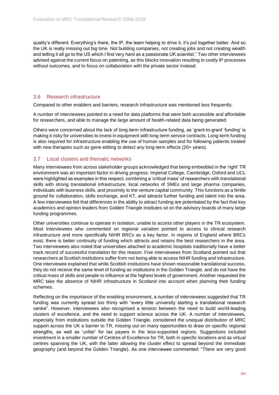quality's different. Everything's there, the IP, the team helping to drive it, it's put together better. And so the UK is really missing out big time. Not building companies, not creating jobs and not creating wealth and letting it all go to the US which I find very hard as a passionate UK scientist." Two other interviewees advised against the current focus on patenting, as this blocks innovation resulting in costly IP processes without outcomes, and to focus on collaboration with the private sector instead.

#### <span id="page-20-0"></span>3.6 Research infrastructure

Compared to other enablers and barriers, research infrastructure was mentioned less frequently.

A number of interviewees pointed to a need for data platforms that were both accessible and affordable for researchers, and able to manage the large amount of health-related data being generated.

Others were concerned about the lack of long-term infrastructure funding, as 'grant-to-grant' funding' is making it risky for universities to invest in equipment with long-term service contracts. Long-term funding is also required for infrastructure enabling the use of human samples and for following patients treated with new therapies such as gene editing to detect any long-term effects (20+ years).

#### <span id="page-20-1"></span>3.7 Local clusters and thematic networks

Many interviewees from across stakeholder groups acknowledged that being embedded in the 'right' TR environment was an important factor in driving progress. Imperial College, Cambridge, Oxford and UCL were highlighted as examples in this respect, combining a 'critical mass' of researchers with translational skills with strong translational infrastructure, local networks of SMEs and large pharma companies, individuals with business skills, and proximity to the venture capital community. This functions as a fertile ground for collaboration, skills exchange, and KT, and attracts further funding and talent into the area. A few interviewees felt that differences in the ability to attract funding are potentiated by the fact that key academics and opinion leaders from Golden Triangle institutes sit on the advisory boards of many large funding programmes.

Other universities continue to operate in isolation, unable to access other players in the TR ecosystem. Most interviewees who commented on regional variation pointed to access to clinical research infrastructure and more specifically NIHR BRCs as a key factor. In regions of England where BRCs exist, there is better continuity of funding which attracts and retains the best researchers in the area. Two interviewees also noted that universities attached to academic hospitals traditionally have a better track record of successful translation for this reason. Five interviewees from Scotland pointed out that researchers at Scottish institutions suffer from not being able to access NIHR funding and infrastructure. One interviewee explained that while Scottish institutions have shown reasonable translational success, they do not receive the same level of funding as institutions in the Golden Triangle, and do not have the critical mass of skills and people to influence at the highest levels of government. Another requested the MRC take the absence of NIHR infrastructure in Scotland into account when planning their funding schemes.

Reflecting on the importance of the enabling environment, a number of interviewees suggested that TR funding was currently spread too thinly with "every little university starting a translational research centre". However, interviewees also recognised a tension between the need to build world-leading clusters of excellence, and the need to support science across the UK. A number of interviewees, especially from institutions outside the Golden Triangle, considered the unequal distribution of MRC support across the UK a barrier to TR, missing out on many opportunities to draw on specific regional strengths, as well as 'unfair' for tax payers in the less-supported regions. Suggestions included investment in a smaller number of Centres of Excellence for TR, both in specific locations and as virtual centres spanning the UK, with the latter allowing the cluster effect to spread beyond the immediate geography (and beyond the Golden Triangle). As one interviewee commented: "There are very good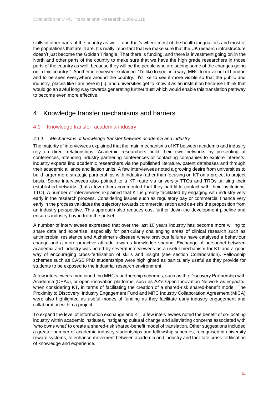skills in other parts of the country as well - and that's where most of the health inequalities and most of the populations that are ill are. It's really important that we make sure that the UK research infrastructure doesn't just become the Golden Triangle. That there is funding, and there is investment going on in the North and other parts of the country to make sure that we have the high grade researchers in those parts of the country as well, because they will be the people who are seeing some of the changes going on in this country.". Another interviewee explained: "I'd like to see, in a way, MRC to move out of London and to be seen everywhere around the country. I'd like to see it more visible so that the public and industry, places like I am here in [..], and universities get to know it as an institution because I think that would go an awful long way towards generating further trust which would enable this translation pathway to become even more effective.

### <span id="page-21-0"></span>4 Knowledge transfer mechanisms and barriers

#### <span id="page-21-1"></span>4.1 Knowledge transfer: academia-industry

#### *4.1.1 Mechanisms of knowledge transfer between academia and industry*

The majority of interviewees explained that the main mechanisms of KT between academia and industry rely on direct relationships: Academic researchers build their own networks by presenting at conferences, attending industry partnering conferences or contacting companies to explore interests; industry experts find academic researchers via the published literature, patent databases and through their academic alliance and liaison units. A few interviewees noted a growing desire from universities to build larger more strategic partnerships with industry rather than focusing on KT on a project to project basis. Some interviewees also pointed to a KT route via university TTOs and TROs utilising their established networks (but a few others commented that they had little contact with their institutions' TTO). A number of interviewees explained that KT is greatly facilitated by engaging with industry very early in the research process. Considering issues such as regulatory pay or commercial finance very early in the process validates the trajectory towards commercialisation and de-risks the proposition from an industry perspective. This approach also reduces cost further down the development pipeline and ensures industry buy-in from the outset.

A number of interviewees expressed that over the last 10 years industry has become more willing to share data and expertise, especially for particularly challenging areas of clinical research such as antimicrobial resistance and Alzheimer's disease where previous failures have catalysed a behaviour change and a more proactive attitude towards knowledge sharing. Exchange of personnel between academia and industry was noted by several interviewees as a useful mechanism for KT and a good way of encouraging cross-fertilisation of skills and insight (see section [Collaboration\)](#page-12-0). Fellowship schemes such as CASE PhD studentships were highlighted as particularly useful as they provide for students to be exposed to the industrial research environment.

A few interviewees mentioned the MRC's partnership schemes, such as the Discovery Partnership with Academia (DPAc), or open innovation platforms, such as AZ's Open Innovation Network as impactful when considering KT, in terms of facilitating the creation of a shared-risk shared-benefit model. The Proximity to Discovery: Industry Engagement Fund and MRC Industry Collaboration Agreement (MICA) were also highlighted as useful modes of funding as they facilitate early industry engagement and collaboration within a project.

To expand the level of information exchange and KT, a few interviewees noted the benefit of co-locating industry within academic institutes, instigating cultural change and alleviating concerns associated with 'who owns what' to create a shared-risk shared-benefit model of translation. Other suggestions included a greater number of academia-industry studentships and fellowship schemes, recognised in university reward systems, to enhance movement between academia and industry and facilitate cross-fertilisation of knowledge and experience.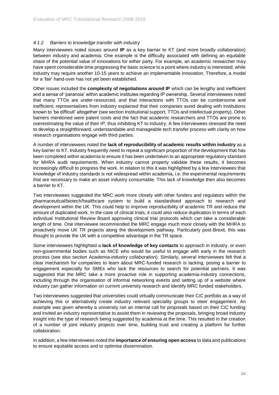#### *4.1.2 Barriers to knowledge transfer with industry*

Many interviewees noted issues around **IP** as a key barrier to KT (and more broadly collaboration) between industry and academia. One example is the difficulty associated with defining an equitable share of the potential value of innovations for either party. For example, an academic researcher may have spent considerable time progressing the basic science to a point where industry is interested; while industry may require another 10-15 years to achieve an implementable innovation. Therefore, a model for a 'fair' hand-over has not yet been established.

Other issues included the **complexity of negotiations around IP** which can be lengthy and inefficient and a sense of 'paranoia' within academic institutes regarding IP ownership. Several interviewees noted that many TTOs are under-resourced, and that interactions with TTOs can be cumbersome and inefficient; representatives from industry explained that their companies avoid dealing with institutions known to 'be difficult' altogether (see sectio[n Institutional support, TTOs](#page-18-0) and Intellectual property). Other barriers mentioned were patent costs and the fact that academic researchers and TTOs are prone to overestimating the value of their IP, thus inhibiting KT to industry. A few interviewees stressed the need to develop a straightforward, understandable and manageable tech transfer process with clarity on how research organisations engage with third parties.

A number of interviewees noted the **lack of reproducibility of academic results within industry** as a key barrier to KT. Industry frequently need to repeat a significant proportion of the development that has been completed within academia to ensure it has been undertaken to an appropriate regulatory standard for MHRA audit requirements. When industry cannot properly validate these results, it becomes increasingly difficult to progress the work. In relation to this it was highlighted by a few interviewees that knowledge of industry standards is not widespread within academia, i.e. the experimental requirements that are necessary to make an asset industry consumable. This lack of knowledge then also becomes a barrier to KT.

Two interviewees suggested the MRC work more closely with other funders and regulators within the pharmaceutical/biotech/healthcare system to build a standardised approach to research and development within the UK. This could help to improve reproducibility of academic TR and reduce the amount of duplicated work. In the case of clinical trials, it could also reduce duplication in terms of each individual Institutional Review Board approving clinical trial protocols which can take a considerable length of time. One interviewee recommended the MRC engage much more closely with the MHRA to proactively move UK TR projects along the development pathway. Particularly post-Brexit, this was thought to provide the UK with a competitive advantage in the TR space.

Some interviewees highlighted a **lack of knowledge of key contacts** to approach in industry, or even non-governmental bodies such as NICE who would be useful to engage with early in the research process (see also section [Academia-industry collaboration\)](#page-12-1). Similarly, several interviewees felt that a clear mechanism for companies to learn about MRC-funded research is lacking, posing a barrier to engagement especially for SMEs who lack the resources to search for potential partners. It was suggested that the MRC take a more proactive role in supporting academia-industry connections, including through the organisation of informal networking events and setting up of a website where industry can gather information on current university research and identify MRC funded stakeholders.

Two interviewees suggested that universities could virtually communicate their CiC portfolio as a way of achieving this or alternatively create industry relevant speciality groups to steer engagement. An example was given whereby a university ran an internal call for proposals based on their CiC funding and invited an industry representative to assist them in reviewing the proposals, bringing broad industry insight into the type of research being suggested by academia at the time. This resulted in the creation of a number of joint industry projects over time, building trust and creating a platform for further collaboration.

In addition, a few interviewees noted the **importance of ensuring open access** to data and publications to ensure equitable access and to optimise dissemination.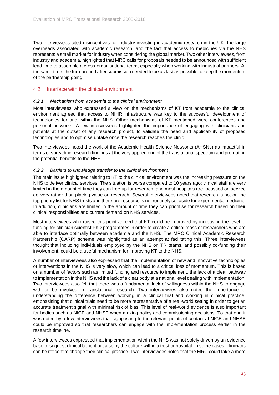Two interviewees cited disincentives for industry investing in academic research in the UK: the large overheads associated with academic research, and the fact that access to medicines via the NHS represents a small market for industry when considering the global market. Two other interviewees, from industry and academia, highlighted that MRC calls for proposals needed to be announced with sufficient lead time to assemble a cross-organisational team, especially when working with industrial partners. At the same time, the turn-around after submission needed to be as fast as possible to keep the momentum of the partnership going.

#### <span id="page-23-0"></span>4.2 Interface with the clinical environment

#### *4.2.1 Mechanism from academia to the clinical environment*

Most interviewees who expressed a view on the mechanisms of KT from academia to the clinical environment agreed that access to NIHR infrastructure was key to the successful development of technologies for and within the NHS. Other mechanisms of KT mentioned were conferences and personal networks. A few interviewees highlighted the importance of engaging with clinicians and patients at the outset of any research project, to validate the need and applicability of proposed technologies and to optimise uptake once the research reaches the clinic.

Two interviewees noted the work of the Academic Health Science Networks (AHSNs) as impactful in terms of spreading research findings at the very applied end of the translational spectrum and promoting the potential benefits to the NHS.

#### *4.2.2 Barriers to knowledge transfer to the clinical environment*

The main issue highlighted relating to KT to the clinical environment was the increasing pressure on the NHS to deliver clinical services. The situation is worse compared to 10 years ago; clinical staff are very limited in the amount of time they can free up for research, and most hospitals are focussed on service delivery rather than placing value on research. Several interviewees noted that research is not on the top priority list for NHS trusts and therefore resource is not routinely set aside for experimental medicine. In addition, clinicians are limited in the amount of time they can prioritise for research based on their clinical responsibilities and current demand on NHS services.

Most interviewees who raised this point agreed that KT could be improved by increasing the level of funding for clinician scientist PhD programmes in order to create a critical mass of researchers who are able to interface optimally between academia and the NHS. The MRC Clinical Academic Research Partnership (CARP) scheme was highlighted as an attempt at facilitating this. Three interviewees thought that including individuals employed by the NHS on TR teams, and possibly co-funding their involvement, could be a useful mechanism for improving KT to the NHS.

A number of interviewees also expressed that the implementation of new and innovative technologies or interventions in the NHS is very slow, which can lead to a critical loss of momentum. This is based on a number of factors such as limited funding and resource to implement, the lack of a clear pathway to implementation in the NHS and the lack of a clear body at a national level dealing with implementation. Two interviewees also felt that there was a fundamental lack of willingness within the NHS to engage with or be involved in translational research. Two interviewees also noted the importance of understanding the difference between working in a clinical trial and working in clinical practice, emphasising that clinical trials need to be more representative of a real-world setting in order to get an accurate treatment signal with minimal risk of bias. This level of real-world evidence is also important for bodies such as NICE and NHSE when making policy and commissioning decisions. To that end it was noted by a few interviewees that signposting to the relevant points of contact at NICE and NHSE could be improved so that researchers can engage with the implementation process earlier in the research timeline.

A few interviewees expressed that implementation within the NHS was not solely driven by an evidence base to suggest clinical benefit but also by the culture within a trust or hospital. In some cases, clinicians can be reticent to change their clinical practice. Two interviewees noted that the MRC could take a more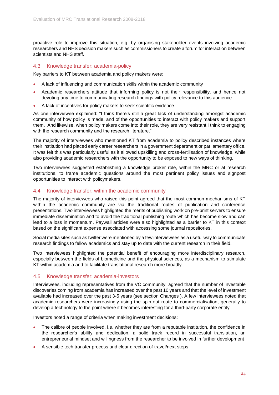proactive role to improve this situation, e.g. by organising stakeholder events involving academic researchers and NHS decision makers such as commissioners to create a forum for interaction between scientists and NHS staff.

#### <span id="page-24-0"></span>4.3 Knowledge transfer: academia-policy

Key barriers to KT between academia and policy makers were:

- A lack of influencing and communication skills within the academic community
- Academic researchers attitude that informing policy is not their responsibility, and hence not devoting any time to communicating research findings with policy relevance to this audience
- A lack of incentives for policy makers to seek scientific evidence.

As one interviewee explained: "I think there's still a great lack of understanding amongst academic community of how policy is made, and of the opportunities to interact with policy makers and support them. And likewise, when policy makers come into their role, they are very resistant I think to engaging with the research community and the research literature."

The majority of interviewees who mentioned KT from academia to policy described instances where their institution had placed early career researchers in a government department or parliamentary office. It was felt this was particularly useful as it allowed upskilling and cross-fertilisation of knowledge, while also providing academic researchers with the opportunity to be exposed to new ways of thinking.

Two interviewees suggested establishing a knowledge broker role, within the MRC or at research institutions, to frame academic questions around the most pertinent policy issues and signpost opportunities to interact with policymakers.

#### <span id="page-24-1"></span>4.4 Knowledge transfer: within the academic community

The majority of interviewees who raised this point agreed that the most common mechanisms of KT within the academic community are via the traditional routes of publication and conference presentations. Two interviewees highlighted the merits of publishing work on pre-print servers to ensure immediate dissemination and to avoid the traditional publishing route which has become slow and can lead to a loss in momentum. Paywall articles were also highlighted as a barrier to KT in this context based on the significant expense associated with accessing some journal repositories.

Social media sites such as twitter were mentioned by a few interviewees as a useful way to communicate research findings to fellow academics and stay up to date with the current research in their field.

Two interviewees highlighted the potential benefit of encouraging more interdisciplinary research, especially between the fields of biomedicine and the physical sciences, as a mechanism to stimulate KT within academia and to facilitate translational research more broadly.

#### <span id="page-24-2"></span>4.5 Knowledge transfer: academia-investors

Interviewees, including representatives from the VC community, agreed that the number of investable discoveries coming from academia has increased over the past 10 years and that the level of investment available had increased over the past 3-5 years (see section [Changes \)](#page-4-0). A few interviewees noted that academic researchers were increasingly using the spin-out route to commercialisation, generally to develop a technology to the point where it becomes interesting for a third-party corporate entity.

Investors noted a range of criteria when making investment decisions:

- The calibre of people involved, i.e. whether they are from a reputable institution, the confidence in the researcher's ability and dedication, a solid track record in successful translation, an entrepreneurial mindset and willingness from the researcher to be involved in further development
- A sensible tech transfer process and clear direction of travel/next steps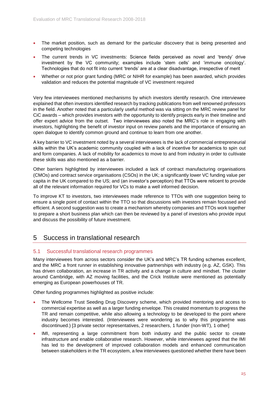- The market position, such as demand for the particular discovery that is being presented and competing technologies
- The current trends in VC investments: Science fields perceived as novel and 'trendy' drive investment by the VC community; examples include 'stem cells' and 'immune oncology'. Technologies that do not fit into current 'trends' are at a clear disadvantage, irrespective of merit
- Whether or not prior grant funding (MRC or NIHR for example) has been awarded, which provides validation and reduces the potential magnitude of VC investment required

Very few interviewees mentioned mechanisms by which investors identify research. One interviewee explained that often investors identified research by tracking publications from well renowned professors in the field. Another noted that a particularly useful method was via sitting on the MRC review panel for CiC awards – which provides investors with the opportunity to identify projects early in their timeline and offer expert advice from the outset. Two interviewees also noted the MRC's role in engaging with investors, highlighting the benefit of investor input on review panels and the importance of ensuring an open dialogue to identify common ground and continue to learn from one another.

A key barrier to VC investment noted by a several interviewees is the lack of commercial entrepreneurial skills within the UK's academic community coupled with a lack of incentive for academics to spin out and form companies. A lack of mobility for academics to move to and from industry in order to cultivate these skills was also mentioned as a barrier.

Other barriers highlighted by interviewees included a lack of contract manufacturing organisations (CMOs) and contract service organisations (CSOs) in the UK; a significantly lower VC funding value per capita in the UK compared to the US; and (an investor's perception) that TTOs were reticent to provide all of the relevant information required for VCs to make a well informed decision.

To improve KT to investors, two interviewees made reference to TTOs with one suggestion being to ensure a single point of contact within the TTO so that discussions with investors remain focussed and efficient. A second suggestion was to create a mechanism whereby companies and TTOs work together to prepare a short business plan which can then be reviewed by a panel of investors who provide input and discuss the possibility of future investment.

#### <span id="page-25-0"></span>5 Success in translational research

#### <span id="page-25-1"></span>5.1 Successful translational research programmes

Many interviewees from across sectors consider the UK's and MRC's TR funding schemes excellent, and the MRC a front runner in establishing innovative partnerships with industry (e.g. AZ, GSK). This has driven collaboration, an increase in TR activity and a change in culture and mindset. The cluster around Cambridge, with AZ moving facilities, and the Crick Institute were mentioned as potentially emerging as European powerhouses of TR.

Other funding programmes highlighted as positive include:

- The Wellcome Trust Seeding Drug Discovery scheme, which provided mentoring and access to commercial expertise as well as a larger funding envelope. This created momentum to progress the TR and remain competitive, while also allowing a technology to be developed to the point where industry becomes interested. (Interviewees were wondering as to why this programme was discontinued.) [3 private sector representatives, 2 researchers, 1 funder (non-WT), 1 other]
- IMI, representing a large commitment from both industry and the public sector to create infrastructure and enable collaborative research. However, while interviewees agreed that the IMI has led to the development of improved collaboration models and enhanced communication between stakeholders in the TR ecosystem, a few interviewees questioned whether there have been